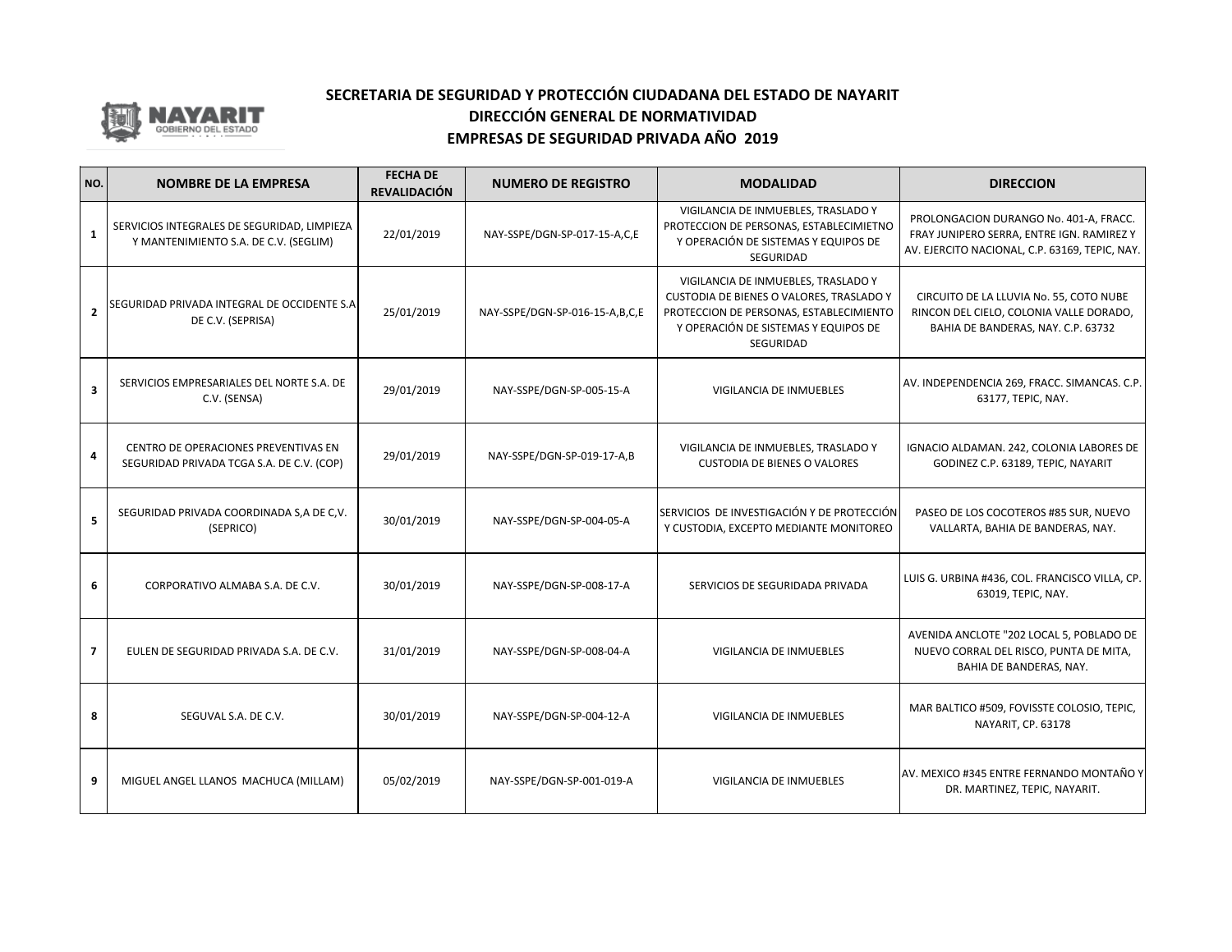

| NO.            | <b>NOMBRE DE LA EMPRESA</b>                                                          | <b>FECHA DE</b><br><b>REVALIDACIÓN</b> | <b>NUMERO DE REGISTRO</b>      | <b>MODALIDAD</b>                                                                                                                                                                | <b>DIRECCION</b>                                                                                                                      |
|----------------|--------------------------------------------------------------------------------------|----------------------------------------|--------------------------------|---------------------------------------------------------------------------------------------------------------------------------------------------------------------------------|---------------------------------------------------------------------------------------------------------------------------------------|
| $\mathbf{1}$   | SERVICIOS INTEGRALES DE SEGURIDAD, LIMPIEZA<br>Y MANTENIMIENTO S.A. DE C.V. (SEGLIM) | 22/01/2019                             | NAY-SSPE/DGN-SP-017-15-A,C,E   | VIGILANCIA DE INMUEBLES, TRASLADO Y<br>PROTECCION DE PERSONAS, ESTABLECIMIETNO<br>Y OPERACIÓN DE SISTEMAS Y EQUIPOS DE<br>SEGURIDAD                                             | PROLONGACION DURANGO No. 401-A, FRACC.<br>FRAY JUNIPERO SERRA, ENTRE IGN. RAMIREZ Y<br>AV. EJERCITO NACIONAL, C.P. 63169, TEPIC, NAY. |
| $\overline{2}$ | SEGURIDAD PRIVADA INTEGRAL DE OCCIDENTE S.A<br>DE C.V. (SEPRISA)                     | 25/01/2019                             | NAY-SSPE/DGN-SP-016-15-A,B,C,E | VIGILANCIA DE INMUEBLES, TRASLADO Y<br>CUSTODIA DE BIENES O VALORES, TRASLADO Y<br>PROTECCION DE PERSONAS, ESTABLECIMIENTO<br>Y OPERACIÓN DE SISTEMAS Y EQUIPOS DE<br>SEGURIDAD | CIRCUITO DE LA LLUVIA No. 55, COTO NUBE<br>RINCON DEL CIELO, COLONIA VALLE DORADO,<br>BAHIA DE BANDERAS, NAY. C.P. 63732              |
| 3              | SERVICIOS EMPRESARIALES DEL NORTE S.A. DE<br>C.V. (SENSA)                            | 29/01/2019                             | NAY-SSPE/DGN-SP-005-15-A       | VIGILANCIA DE INMUEBLES                                                                                                                                                         | AV. INDEPENDENCIA 269, FRACC. SIMANCAS. C.P.<br>63177, TEPIC, NAY.                                                                    |
| 4              | CENTRO DE OPERACIONES PREVENTIVAS EN<br>SEGURIDAD PRIVADA TCGA S.A. DE C.V. (COP)    | 29/01/2019                             | NAY-SSPE/DGN-SP-019-17-A,B     | VIGILANCIA DE INMUEBLES, TRASLADO Y<br><b>CUSTODIA DE BIENES O VALORES</b>                                                                                                      | IGNACIO ALDAMAN. 242, COLONIA LABORES DE<br>GODINEZ C.P. 63189, TEPIC, NAYARIT                                                        |
| 5              | SEGURIDAD PRIVADA COORDINADA S, A DE C, V.<br>(SEPRICO)                              | 30/01/2019                             | NAY-SSPE/DGN-SP-004-05-A       | SERVICIOS DE INVESTIGACIÓN Y DE PROTECCIÓN<br>Y CUSTODIA, EXCEPTO MEDIANTE MONITOREO                                                                                            | PASEO DE LOS COCOTEROS #85 SUR, NUEVO<br>VALLARTA, BAHIA DE BANDERAS, NAY.                                                            |
| 6              | CORPORATIVO ALMABA S.A. DE C.V.                                                      | 30/01/2019                             | NAY-SSPE/DGN-SP-008-17-A       | SERVICIOS DE SEGURIDADA PRIVADA                                                                                                                                                 | LUIS G. URBINA #436, COL. FRANCISCO VILLA, CP.<br>63019, TEPIC, NAY.                                                                  |
| $\overline{7}$ | EULEN DE SEGURIDAD PRIVADA S.A. DE C.V.                                              | 31/01/2019                             | NAY-SSPE/DGN-SP-008-04-A       | VIGILANCIA DE INMUEBLES                                                                                                                                                         | AVENIDA ANCLOTE "202 LOCAL 5, POBLADO DE<br>NUEVO CORRAL DEL RISCO, PUNTA DE MITA,<br>BAHIA DE BANDERAS, NAY.                         |
| 8              | SEGUVAL S.A. DE C.V.                                                                 | 30/01/2019                             | NAY-SSPE/DGN-SP-004-12-A       | VIGILANCIA DE INMUEBLES                                                                                                                                                         | MAR BALTICO #509, FOVISSTE COLOSIO, TEPIC,<br>NAYARIT, CP. 63178                                                                      |
| 9              | MIGUEL ANGEL LLANOS MACHUCA (MILLAM)                                                 | 05/02/2019                             | NAY-SSPE/DGN-SP-001-019-A      | VIGILANCIA DE INMUEBLES                                                                                                                                                         | AV. MEXICO #345 ENTRE FERNANDO MONTAÑO Y<br>DR. MARTINEZ, TEPIC, NAYARIT.                                                             |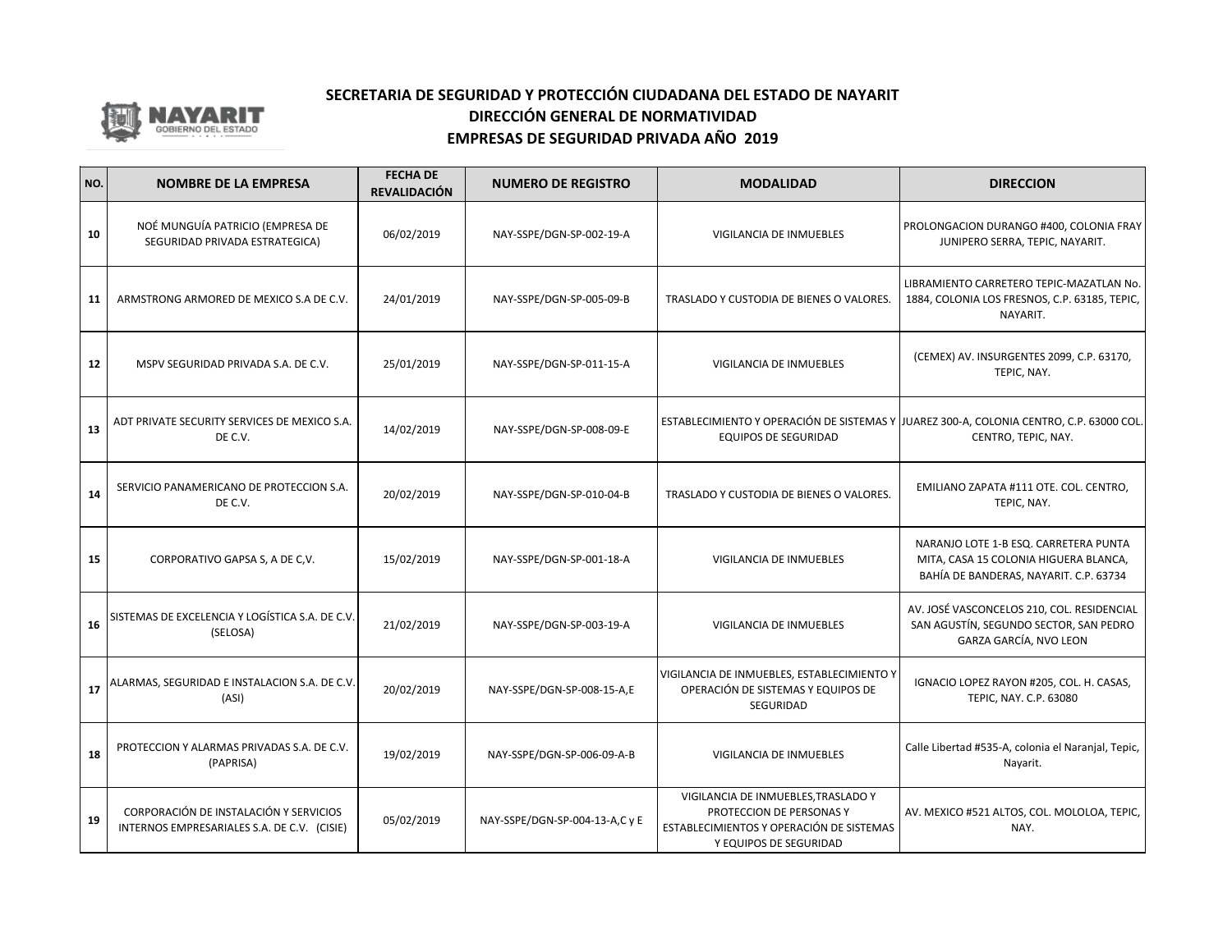

| NO. | <b>NOMBRE DE LA EMPRESA</b>                                                           | <b>FECHA DE</b><br><b>REVALIDACIÓN</b> | <b>NUMERO DE REGISTRO</b>      | <b>MODALIDAD</b>                                                                                                                      | <b>DIRECCION</b>                                                                                                         |
|-----|---------------------------------------------------------------------------------------|----------------------------------------|--------------------------------|---------------------------------------------------------------------------------------------------------------------------------------|--------------------------------------------------------------------------------------------------------------------------|
| 10  | NOÉ MUNGUÍA PATRICIO (EMPRESA DE<br>SEGURIDAD PRIVADA ESTRATEGICA)                    | 06/02/2019                             | NAY-SSPE/DGN-SP-002-19-A       | VIGILANCIA DE INMUEBLES                                                                                                               | PROLONGACION DURANGO #400, COLONIA FRAY<br>JUNIPERO SERRA, TEPIC, NAYARIT.                                               |
| 11  | ARMSTRONG ARMORED DE MEXICO S.A DE C.V.                                               | 24/01/2019                             | NAY-SSPE/DGN-SP-005-09-B       | TRASLADO Y CUSTODIA DE BIENES O VALORES.                                                                                              | LIBRAMIENTO CARRETERO TEPIC-MAZATLAN No.<br>1884, COLONIA LOS FRESNOS, C.P. 63185, TEPIC,<br>NAYARIT.                    |
| 12  | MSPV SEGURIDAD PRIVADA S.A. DE C.V.                                                   | 25/01/2019                             | NAY-SSPE/DGN-SP-011-15-A       | VIGILANCIA DE INMUEBLES                                                                                                               | (CEMEX) AV. INSURGENTES 2099, C.P. 63170,<br>TEPIC, NAY.                                                                 |
| 13  | ADT PRIVATE SECURITY SERVICES DE MEXICO S.A.<br>DE C.V.                               | 14/02/2019                             | NAY-SSPE/DGN-SP-008-09-E       | <b>EQUIPOS DE SEGURIDAD</b>                                                                                                           | ESTABLECIMIENTO Y OPERACIÓN DE SISTEMAS Y JUAREZ 300-A, COLONIA CENTRO, C.P. 63000 COL.<br>CENTRO, TEPIC, NAY.           |
| 14  | SERVICIO PANAMERICANO DE PROTECCION S.A.<br>DE C.V.                                   | 20/02/2019                             | NAY-SSPE/DGN-SP-010-04-B       | TRASLADO Y CUSTODIA DE BIENES O VALORES.                                                                                              | EMILIANO ZAPATA #111 OTE. COL. CENTRO,<br>TEPIC, NAY.                                                                    |
| 15  | CORPORATIVO GAPSA S, A DE C,V.                                                        | 15/02/2019                             | NAY-SSPE/DGN-SP-001-18-A       | VIGILANCIA DE INMUEBLES                                                                                                               | NARANJO LOTE 1-B ESQ. CARRETERA PUNTA<br>MITA, CASA 15 COLONIA HIGUERA BLANCA,<br>BAHÍA DE BANDERAS, NAYARIT. C.P. 63734 |
| 16  | SISTEMAS DE EXCELENCIA Y LOGÍSTICA S.A. DE C.V.<br>(SELOSA)                           | 21/02/2019                             | NAY-SSPE/DGN-SP-003-19-A       | VIGILANCIA DE INMUEBLES                                                                                                               | AV. JOSÉ VASCONCELOS 210, COL. RESIDENCIAL<br>SAN AGUSTÍN, SEGUNDO SECTOR, SAN PEDRO<br>GARZA GARCÍA, NVO LEON           |
| 17  | ALARMAS, SEGURIDAD E INSTALACION S.A. DE C.V.<br>(ASI)                                | 20/02/2019                             | NAY-SSPE/DGN-SP-008-15-A,E     | VIGILANCIA DE INMUEBLES, ESTABLECIMIENTO Y<br>OPERACIÓN DE SISTEMAS Y EQUIPOS DE<br><b>SEGURIDAD</b>                                  | IGNACIO LOPEZ RAYON #205, COL. H. CASAS,<br>TEPIC, NAY. C.P. 63080                                                       |
| 18  | PROTECCION Y ALARMAS PRIVADAS S.A. DE C.V.<br>(PAPRISA)                               | 19/02/2019                             | NAY-SSPE/DGN-SP-006-09-A-B     | VIGILANCIA DE INMUEBLES                                                                                                               | Calle Libertad #535-A, colonia el Naranjal, Tepic,<br>Nayarit.                                                           |
| 19  | CORPORACIÓN DE INSTALACIÓN Y SERVICIOS<br>INTERNOS EMPRESARIALES S.A. DE C.V. (CISIE) | 05/02/2019                             | NAY-SSPE/DGN-SP-004-13-A,C y E | VIGILANCIA DE INMUEBLES, TRASLADO Y<br>PROTECCION DE PERSONAS Y<br>ESTABLECIMIENTOS Y OPERACIÓN DE SISTEMAS<br>Y EQUIPOS DE SEGURIDAD | AV. MEXICO #521 ALTOS, COL. MOLOLOA, TEPIC,<br>NAY.                                                                      |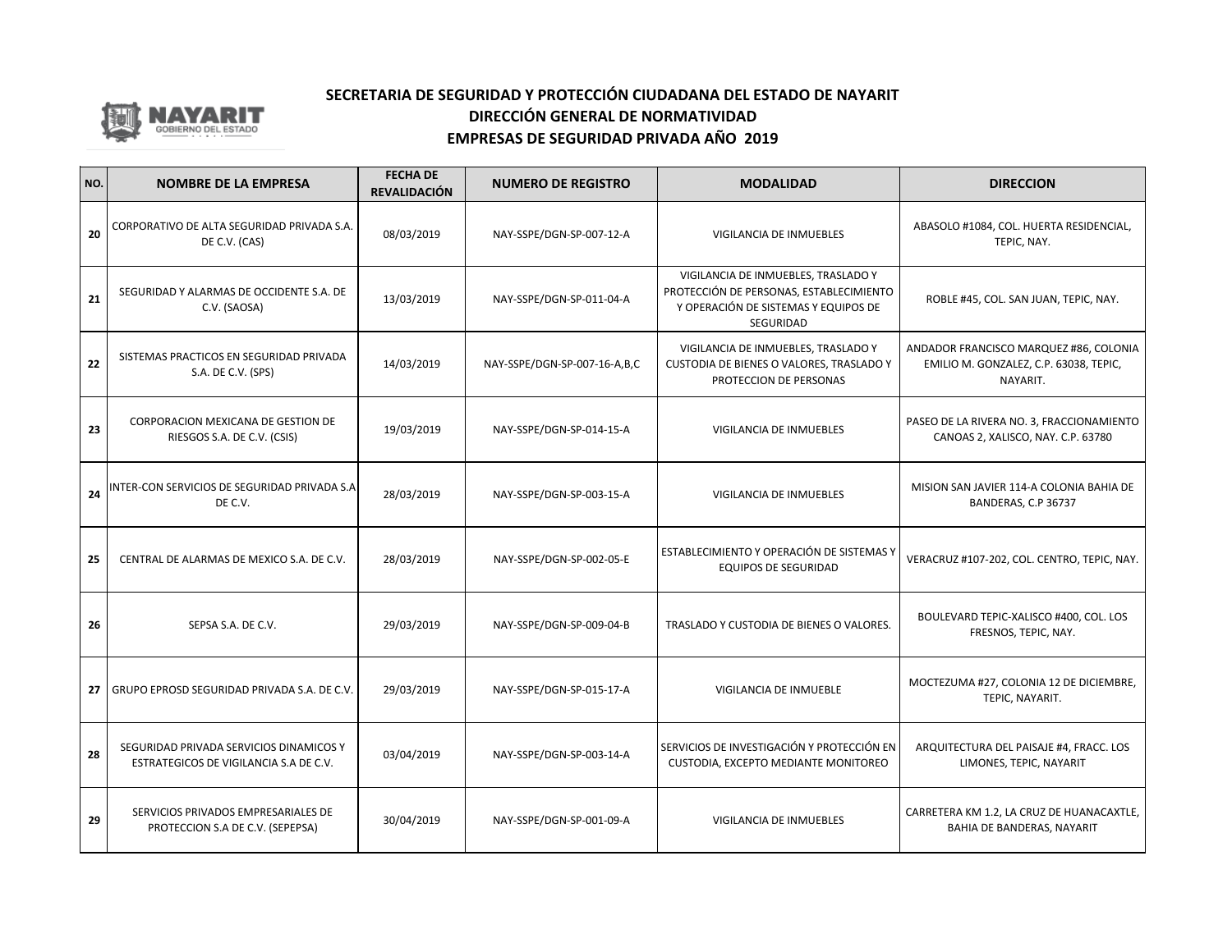

| NO. | <b>NOMBRE DE LA EMPRESA</b>                                                       | <b>FECHA DE</b><br><b>REVALIDACIÓN</b> | <b>NUMERO DE REGISTRO</b>    | <b>MODALIDAD</b>                                                                                                                           | <b>DIRECCION</b>                                                                             |
|-----|-----------------------------------------------------------------------------------|----------------------------------------|------------------------------|--------------------------------------------------------------------------------------------------------------------------------------------|----------------------------------------------------------------------------------------------|
| 20  | CORPORATIVO DE ALTA SEGURIDAD PRIVADA S.A.<br>DE C.V. (CAS)                       | 08/03/2019                             | NAY-SSPE/DGN-SP-007-12-A     | VIGILANCIA DE INMUEBLES                                                                                                                    | ABASOLO #1084, COL. HUERTA RESIDENCIAL,<br>TEPIC, NAY.                                       |
| 21  | SEGURIDAD Y ALARMAS DE OCCIDENTE S.A. DE<br>C.V. (SAOSA)                          | 13/03/2019                             | NAY-SSPE/DGN-SP-011-04-A     | VIGILANCIA DE INMUEBLES, TRASLADO Y<br>PROTECCIÓN DE PERSONAS, ESTABLECIMIENTO<br>Y OPERACIÓN DE SISTEMAS Y EQUIPOS DE<br><b>SEGURIDAD</b> | ROBLE #45, COL. SAN JUAN, TEPIC, NAY.                                                        |
| 22  | SISTEMAS PRACTICOS EN SEGURIDAD PRIVADA<br>S.A. DE C.V. (SPS)                     | 14/03/2019                             | NAY-SSPE/DGN-SP-007-16-A,B,C | VIGILANCIA DE INMUEBLES, TRASLADO Y<br>CUSTODIA DE BIENES O VALORES, TRASLADO Y<br>PROTECCION DE PERSONAS                                  | ANDADOR FRANCISCO MARQUEZ #86, COLONIA<br>EMILIO M. GONZALEZ, C.P. 63038, TEPIC,<br>NAYARIT. |
| 23  | CORPORACION MEXICANA DE GESTION DE<br>RIESGOS S.A. DE C.V. (CSIS)                 | 19/03/2019                             | NAY-SSPE/DGN-SP-014-15-A     | VIGILANCIA DE INMUEBLES                                                                                                                    | PASEO DE LA RIVERA NO. 3, FRACCIONAMIENTO<br>CANOAS 2, XALISCO, NAY. C.P. 63780              |
| 24  | INTER-CON SERVICIOS DE SEGURIDAD PRIVADA S.A<br>DE C.V.                           | 28/03/2019                             | NAY-SSPE/DGN-SP-003-15-A     | VIGILANCIA DE INMUEBLES                                                                                                                    | MISION SAN JAVIER 114-A COLONIA BAHIA DE<br>BANDERAS, C.P 36737                              |
| 25  | CENTRAL DE ALARMAS DE MEXICO S.A. DE C.V.                                         | 28/03/2019                             | NAY-SSPE/DGN-SP-002-05-E     | ESTABLECIMIENTO Y OPERACIÓN DE SISTEMAS Y<br><b>EQUIPOS DE SEGURIDAD</b>                                                                   | VERACRUZ #107-202, COL. CENTRO, TEPIC, NAY.                                                  |
| 26  | SEPSA S.A. DE C.V.                                                                | 29/03/2019                             | NAY-SSPE/DGN-SP-009-04-B     | TRASLADO Y CUSTODIA DE BIENES O VALORES.                                                                                                   | BOULEVARD TEPIC-XALISCO #400, COL. LOS<br>FRESNOS, TEPIC, NAY.                               |
| 27  | GRUPO EPROSD SEGURIDAD PRIVADA S.A. DE C.V.                                       | 29/03/2019                             | NAY-SSPE/DGN-SP-015-17-A     | VIGILANCIA DE INMUEBLE                                                                                                                     | MOCTEZUMA #27, COLONIA 12 DE DICIEMBRE,<br>TEPIC, NAYARIT.                                   |
| 28  | SEGURIDAD PRIVADA SERVICIOS DINAMICOS Y<br>ESTRATEGICOS DE VIGILANCIA S.A DE C.V. | 03/04/2019                             | NAY-SSPE/DGN-SP-003-14-A     | SERVICIOS DE INVESTIGACIÓN Y PROTECCIÓN EN<br>CUSTODIA, EXCEPTO MEDIANTE MONITOREO                                                         | ARQUITECTURA DEL PAISAJE #4, FRACC. LOS<br>LIMONES, TEPIC, NAYARIT                           |
| 29  | SERVICIOS PRIVADOS EMPRESARIALES DE<br>PROTECCION S.A DE C.V. (SEPEPSA)           | 30/04/2019                             | NAY-SSPE/DGN-SP-001-09-A     | VIGILANCIA DE INMUEBLES                                                                                                                    | CARRETERA KM 1.2, LA CRUZ DE HUANACAXTLE,<br>BAHIA DE BANDERAS, NAYARIT                      |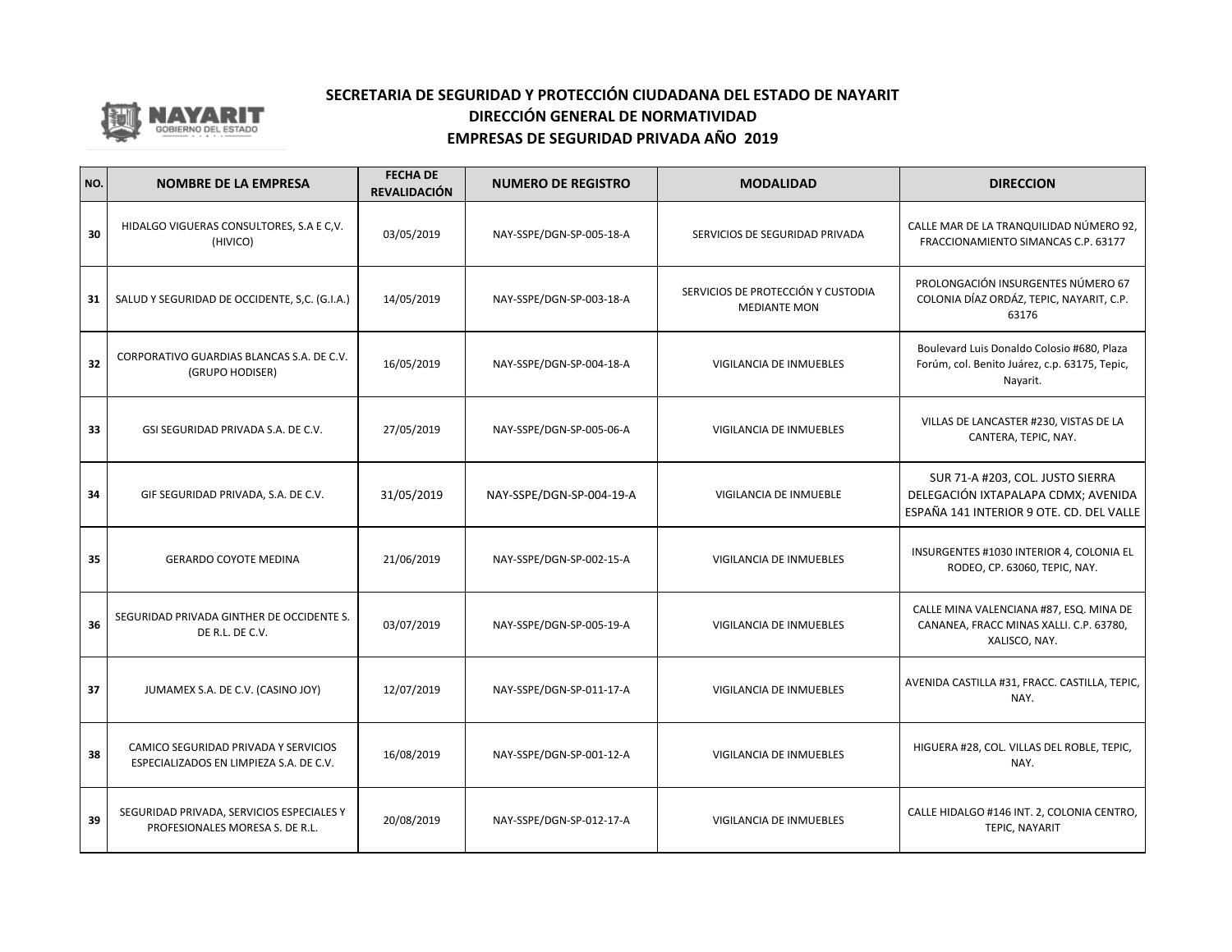

| NO. | <b>NOMBRE DE LA EMPRESA</b>                                                     | <b>FECHA DE</b><br><b>REVALIDACIÓN</b> | <b>NUMERO DE REGISTRO</b> | <b>MODALIDAD</b>                                          | <b>DIRECCION</b>                                                                                                    |
|-----|---------------------------------------------------------------------------------|----------------------------------------|---------------------------|-----------------------------------------------------------|---------------------------------------------------------------------------------------------------------------------|
| 30  | HIDALGO VIGUERAS CONSULTORES, S.A E C,V.<br>(HIVICO)                            | 03/05/2019                             | NAY-SSPE/DGN-SP-005-18-A  | SERVICIOS DE SEGURIDAD PRIVADA                            | CALLE MAR DE LA TRANQUILIDAD NÚMERO 92,<br>FRACCIONAMIENTO SIMANCAS C.P. 63177                                      |
| 31  | SALUD Y SEGURIDAD DE OCCIDENTE, S,C. (G.I.A.)                                   | 14/05/2019                             | NAY-SSPE/DGN-SP-003-18-A  | SERVICIOS DE PROTECCIÓN Y CUSTODIA<br><b>MEDIANTE MON</b> | PROLONGACIÓN INSURGENTES NÚMERO 67<br>COLONIA DÍAZ ORDÁZ, TEPIC, NAYARIT, C.P.<br>63176                             |
| 32  | CORPORATIVO GUARDIAS BLANCAS S.A. DE C.V.<br>(GRUPO HODISER)                    | 16/05/2019                             | NAY-SSPE/DGN-SP-004-18-A  | VIGILANCIA DE INMUEBLES                                   | Boulevard Luis Donaldo Colosio #680, Plaza<br>Forúm, col. Benito Juárez, c.p. 63175, Tepic,<br>Nayarit.             |
| 33  | GSI SEGURIDAD PRIVADA S.A. DE C.V.                                              | 27/05/2019                             | NAY-SSPE/DGN-SP-005-06-A  | VIGILANCIA DE INMUEBLES                                   | VILLAS DE LANCASTER #230, VISTAS DE LA<br>CANTERA, TEPIC, NAY.                                                      |
| 34  | GIF SEGURIDAD PRIVADA, S.A. DE C.V.                                             | 31/05/2019                             | NAY-SSPE/DGN-SP-004-19-A  | VIGILANCIA DE INMUEBLE                                    | SUR 71-A #203, COL. JUSTO SIERRA<br>DELEGACIÓN IXTAPALAPA CDMX; AVENIDA<br>ESPAÑA 141 INTERIOR 9 OTE. CD. DEL VALLE |
| 35  | <b>GERARDO COYOTE MEDINA</b>                                                    | 21/06/2019                             | NAY-SSPE/DGN-SP-002-15-A  | VIGILANCIA DE INMUEBLES                                   | INSURGENTES #1030 INTERIOR 4, COLONIA EL<br>RODEO, CP. 63060, TEPIC, NAY.                                           |
| 36  | SEGURIDAD PRIVADA GINTHER DE OCCIDENTE S.<br>DE R.L. DE C.V.                    | 03/07/2019                             | NAY-SSPE/DGN-SP-005-19-A  | VIGILANCIA DE INMUEBLES                                   | CALLE MINA VALENCIANA #87, ESQ. MINA DE<br>CANANEA, FRACC MINAS XALLI. C.P. 63780,<br>XALISCO, NAY.                 |
| 37  | JUMAMEX S.A. DE C.V. (CASINO JOY)                                               | 12/07/2019                             | NAY-SSPE/DGN-SP-011-17-A  | <b>VIGILANCIA DE INMUEBLES</b>                            | AVENIDA CASTILLA #31, FRACC. CASTILLA, TEPIC,<br>NAY.                                                               |
| 38  | CAMICO SEGURIDAD PRIVADA Y SERVICIOS<br>ESPECIALIZADOS EN LIMPIEZA S.A. DE C.V. | 16/08/2019                             | NAY-SSPE/DGN-SP-001-12-A  | VIGILANCIA DE INMUEBLES                                   | HIGUERA #28, COL. VILLAS DEL ROBLE, TEPIC,<br>NAY.                                                                  |
| 39  | SEGURIDAD PRIVADA, SERVICIOS ESPECIALES Y<br>PROFESIONALES MORESA S. DE R.L.    | 20/08/2019                             | NAY-SSPE/DGN-SP-012-17-A  | <b>VIGILANCIA DE INMUEBLES</b>                            | CALLE HIDALGO #146 INT. 2, COLONIA CENTRO,<br><b>TEPIC, NAYARIT</b>                                                 |